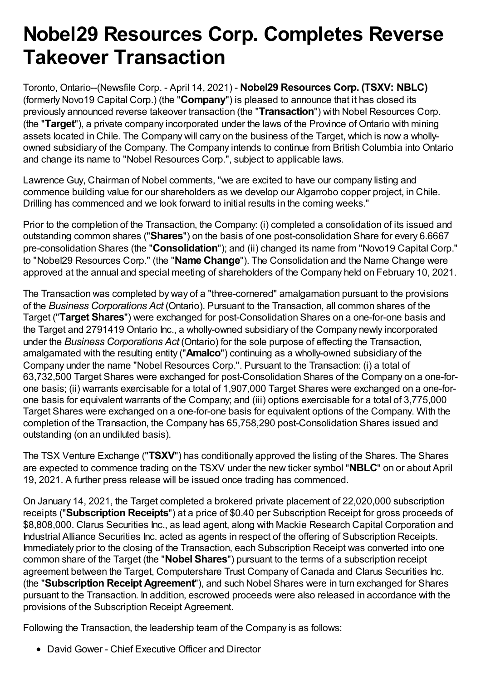# **Nobel29 Resources Corp. Completes Reverse Takeover Transaction**

Toronto, Ontario--(Newsfile Corp. - April 14, 2021) - **Nobel29 Resources Corp. (TSXV: NBLC)** (formerly Novo19 Capital Corp.) (the "**Company**") is pleased to announce that it has closed its previously announced reverse takeover transaction (the "**Transaction**") with Nobel Resources Corp. (the "**Target**"), a private company incorporated under the laws of the Province of Ontario with mining assets located in Chile. The Company will carry on the business of the Target, which is now a whollyowned subsidiary of the Company. The Company intends to continue from British Columbia into Ontario and change its name to "Nobel Resources Corp.", subject to applicable laws.

Lawrence Guy, Chairman of Nobel comments, "we are excited to have our company listing and commence building value for our shareholders as we develop our Algarrobo copper project, in Chile. Drilling has commenced and we look forward to initial results in the coming weeks."

Prior to the completion of the Transaction, the Company: (i) completed a consolidation of its issued and outstanding common shares ("**Shares**") on the basis of one post-consolidation Share for every 6.6667 pre-consolidation Shares (the "**Consolidation**"); and (ii) changed its name from "Novo19 Capital Corp." to "Nobel29 Resources Corp." (the "**Name Change**"). The Consolidation and the Name Change were approved at the annual and special meeting of shareholders of the Company held on February 10, 2021.

The Transaction was completed by way of a "three-cornered" amalgamation pursuant to the provisions of the *Business Corporations Act* (Ontario). Pursuant to the Transaction, all common shares of the Target ("**Target Shares**") were exchanged for post-Consolidation Shares on a one-for-one basis and the Target and 2791419 Ontario Inc., a wholly-owned subsidiary of the Company newly incorporated under the *Business Corporations Act* (Ontario) for the sole purpose of effecting the Transaction, amalgamated with the resulting entity ("**Amalco**") continuing as a wholly-owned subsidiary of the Company under the name "Nobel Resources Corp.". Pursuant to the Transaction: (i) a total of 63,732,500 Target Shares were exchanged for post-Consolidation Shares of the Company on a one-forone basis; (ii) warrants exercisable for a total of 1,907,000 Target Shares were exchanged on a one-forone basis for equivalent warrants of the Company; and (iii) options exercisable for a total of 3,775,000 Target Shares were exchanged on a one-for-one basis for equivalent options of the Company. With the completion of the Transaction, the Company has 65,758,290 post-Consolidation Shares issued and outstanding (on an undiluted basis).

The TSX Venture Exchange ("**TSXV**") has conditionally approved the listing of the Shares. The Shares are expected to commence trading on the TSXV under the new ticker symbol "**NBLC**" on or about April 19, 2021. A further press release will be issued once trading has commenced.

On January 14, 2021, the Target completed a brokered private placement of 22,020,000 subscription receipts ("**Subscription Receipts**") at a price of \$0.40 per Subscription Receipt for gross proceeds of \$8,808,000. Clarus Securities Inc., as lead agent, along with Mackie Research Capital Corporation and Industrial Alliance Securities Inc. acted as agents in respect of the offering of Subscription Receipts. Immediately prior to the closing of the Transaction, each Subscription Receipt was converted into one common share of the Target (the "**Nobel Shares**") pursuant to the terms of a subscription receipt agreement between the Target, Computershare Trust Company of Canada and Clarus Securities Inc. (the "**Subscription Receipt Agreement**"), and such Nobel Shares were in turn exchanged for Shares pursuant to the Transaction. In addition, escrowed proceeds were also released in accordance with the provisions of the Subscription Receipt Agreement.

Following the Transaction, the leadership team of the Company is as follows:

• David Gower - Chief Executive Officer and Director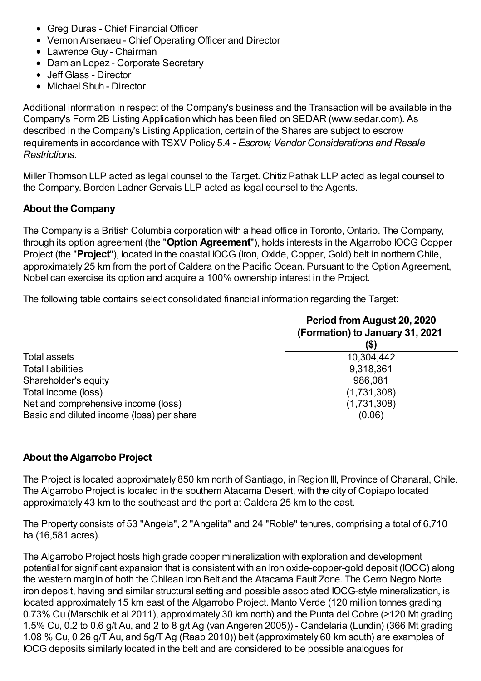- Greg Duras Chief Financial Officer
- Vernon Arsenaeu Chief Operating Officer and Director
- Lawrence Guy Chairman
- Damian Lopez Corporate Secretary
- Jeff Glass Director
- Michael Shuh Director

Additional information in respect of the Company's business and the Transaction will be available in the Company's Form 2B Listing Application which has been filed on SEDAR (www.sedar.com). As described in the Company's Listing Application, certain of the Shares are subject to escrow requirements in accordance with TSXV Policy 5.4 - *Escrow, Vendor Considerations and Resale Restrictions*.

Miller Thomson LLP acted as legal counsel to the Target. Chitiz Pathak LLP acted as legal counsel to the Company. Borden Ladner Gervais LLP acted as legal counsel to the Agents.

## **About the Company**

The Company is a British Columbia corporation with a head office in Toronto, Ontario. The Company, through its option agreement (the "**Option Agreement**"), holds interests in the Algarrobo IOCG Copper Project (the "**Project**"), located in the coastal IOCG (Iron, Oxide, Copper, Gold) belt in northern Chile, approximately 25 km from the port of Caldera on the Pacific Ocean. Pursuant to the Option Agreement, Nobel can exercise its option and acquire a 100% ownership interest in the Project.

The following table contains select consolidated financial information regarding the Target:

|                                           | Period from August 20, 2020<br>(Formation) to January 31, 2021<br>(\$) |
|-------------------------------------------|------------------------------------------------------------------------|
| Total assets                              | 10,304,442                                                             |
| <b>Total liabilities</b>                  | 9,318,361                                                              |
| Shareholder's equity                      | 986,081                                                                |
| Total income (loss)                       | (1,731,308)                                                            |
| Net and comprehensive income (loss)       | (1,731,308)                                                            |
| Basic and diluted income (loss) per share | (0.06)                                                                 |

## **About the Algarrobo Project**

The Project is located approximately 850 km north of Santiago, in Region III, Province of Chanaral, Chile. The Algarrobo Project is located in the southern Atacama Desert, with the city of Copiapo located approximately 43 km to the southeast and the port at Caldera 25 km to the east.

The Property consists of 53 "Angela", 2 "Angelita" and 24 "Roble" tenures, comprising a total of 6,710 ha (16,581 acres).

The Algarrobo Project hosts high grade copper mineralization with exploration and development potential for significant expansion that is consistent with an Iron oxide-copper-gold deposit (IOCG) along the western margin of both the Chilean Iron Belt and the Atacama Fault Zone. The Cerro Negro Norte iron deposit, having and similar structural setting and possible associated IOCG-style mineralization, is located approximately 15 km east of the Algarrobo Project. Manto Verde (120 million tonnes grading 0.73% Cu (Marschik et al 2011), approximately 30 km north) and the Punta del Cobre (>120 Mt grading 1.5% Cu, 0.2 to 0.6 g/t Au, and 2 to 8 g/t Ag (van Angeren 2005)) - Candelaria (Lundin) (366 Mt grading 1.08 % Cu, 0.26 g/T Au, and 5g/T Ag (Raab 2010)) belt (approximately 60 km south) are examples of IOCG deposits similarly located in the belt and are considered to be possible analogues for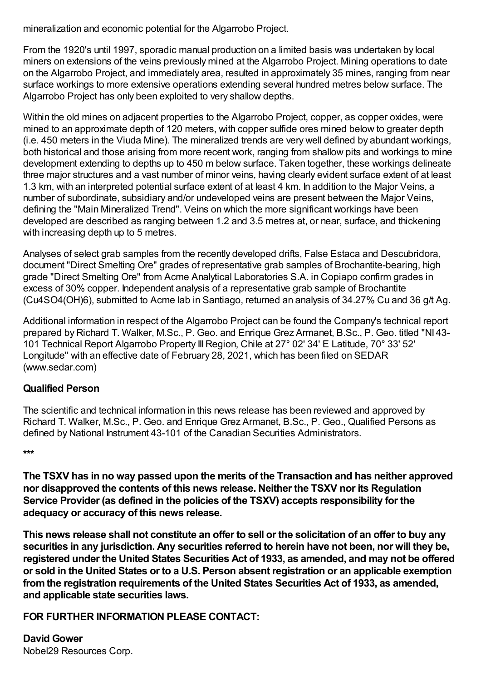mineralization and economic potential for the Algarrobo Project.

From the 1920's until 1997, sporadic manual production on a limited basis was undertaken by local miners on extensions of the veins previously mined at the Algarrobo Project. Mining operations to date on the Algarrobo Project, and immediately area, resulted in approximately 35 mines, ranging from near surface workings to more extensive operations extending several hundred metres below surface. The Algarrobo Project has only been exploited to very shallow depths.

Within the old mines on adjacent properties to the Algarrobo Project, copper, as copper oxides, were mined to an approximate depth of 120 meters, with copper sulfide ores mined below to greater depth (i.e. 450 meters in the Viuda Mine). The mineralized trends are very well defined by abundant workings, both historical and those arising from more recent work, ranging from shallow pits and workings to mine development extending to depths up to 450 m below surface. Taken together, these workings delineate three major structures and a vast number of minor veins, having clearly evident surface extent of at least 1.3 km, with an interpreted potential surface extent of at least 4 km. In addition to the Major Veins, a number of subordinate, subsidiary and/or undeveloped veins are present between the Major Veins, defining the "Main Mineralized Trend". Veins on which the more significant workings have been developed are described as ranging between 1.2 and 3.5 metres at, or near, surface, and thickening with increasing depth up to 5 metres.

Analyses of select grab samples from the recently developed drifts, False Estaca and Descubridora, document "Direct Smelting Ore" grades of representative grab samples of Brochantite-bearing, high grade "Direct Smelting Ore" from Acme Analytical Laboratories S.A. in Copiapo confirm grades in excess of 30% copper. Independent analysis of a representative grab sample of Brochantite (Cu4SO4(OH)6), submitted to Acme lab in Santiago, returned an analysis of 34.27% Cu and 36 g/t Ag.

Additional information in respect of the Algarrobo Project can be found the Company's technical report prepared by Richard T. Walker, M.Sc., P. Geo. and Enrique Grez Armanet, B.Sc., P. Geo. titled "NI 43- 101 Technical Report Algarrobo Property IIIRegion, Chile at 27° 02' 34' E Latitude, 70° 33' 52' Longitude" with an effective date of February 28, 2021, which has been filed on SEDAR (www.sedar.com)

### **Qualified Person**

The scientific and technical information in this news release has been reviewed and approved by Richard T. Walker, M.Sc., P. Geo. and Enrique Grez Armanet, B.Sc., P. Geo., Qualified Persons as defined by National Instrument 43-101 of the Canadian Securities Administrators.

#### **\*\*\***

**The TSXV has in no way passed upon the merits of the Transaction and has neither approved nor disapproved the contents of this news release. Neither the TSXV nor its Regulation Service Provider (as defined in the policies of the TSXV) accepts responsibility for the adequacy or accuracy of this news release.**

This news release shall not constitute an offer to sell or the solicitation of an offer to buy any **securities in any jurisdiction. Any securities referred to herein have not been, nor will they be, registered under the United States Securities Act of 1933, as amended, and may not be offered or sold in the United States or to a U.S. Person absent registration or an applicable exemption fromthe registration requirements of the United States Securities Act of 1933, as amended, and applicable state securities laws.**

## **FOR FURTHER INFORMATION PLEASE CONTACT:**

**David Gower** Nobel29 Resources Corp.